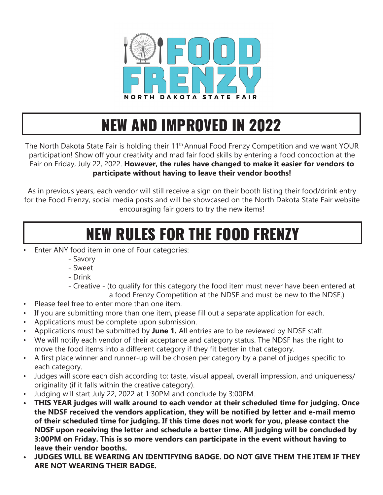

## NEW AND IMPROVED IN 2022

The North Dakota State Fair is holding their 11<sup>th</sup> Annual Food Frenzy Competition and we want YOUR participation! Show off your creativity and mad fair food skills by entering a food concoction at the Fair on Friday, July 22, 2022. **However, the rules have changed to make it easier for vendors to participate without having to leave their vendor booths!** 

As in previous years, each vendor will still receive a sign on their booth listing their food/drink entry for the Food Frenzy, social media posts and will be showcased on the North Dakota State Fair website encouraging fair goers to try the new items!

## NEW RULES FOR THE FOOD FRENZY

- Enter ANY food item in one of Four categories:
	- Savory
	- Sweet
	- Drink
	- Creative (to qualify for this category the food item must never have been entered at a food Frenzy Competition at the NDSF and must be new to the NDSF.)
- Please feel free to enter more than one item.
- If you are submitting more than one item, please fill out a separate application for each.
- Applications must be complete upon submission.
- Applications must be submitted by **June 1.** All entries are to be reviewed by NDSF staff.
- We will notify each vendor of their acceptance and category status. The NDSF has the right to move the food items into a different category if they fit better in that category.
- A first place winner and runner-up will be chosen per category by a panel of judges specific to each category.
- Judges will score each dish according to: taste, visual appeal, overall impression, and uniqueness/ originality (if it falls within the creative category).
- Judging will start July 22, 2022 at 1:30PM and conclude by 3:00PM.
- **• THIS YEAR judges will walk around to each vendor at their scheduled time for judging. Once the NDSF received the vendors application, they will be notified by letter and e-mail memo of their scheduled time for judging. If this time does not work for you, please contact the NDSF upon receiving the letter and schedule a better time. All judging will be concluded by 3:00PM on Friday. This is so more vendors can participate in the event without having to leave their vendor booths.**
- **• JUDGES WILL BE WEARING AN IDENTIFYING BADGE. DO NOT GIVE THEM THE ITEM IF THEY ARE NOT WEARING THEIR BADGE.**